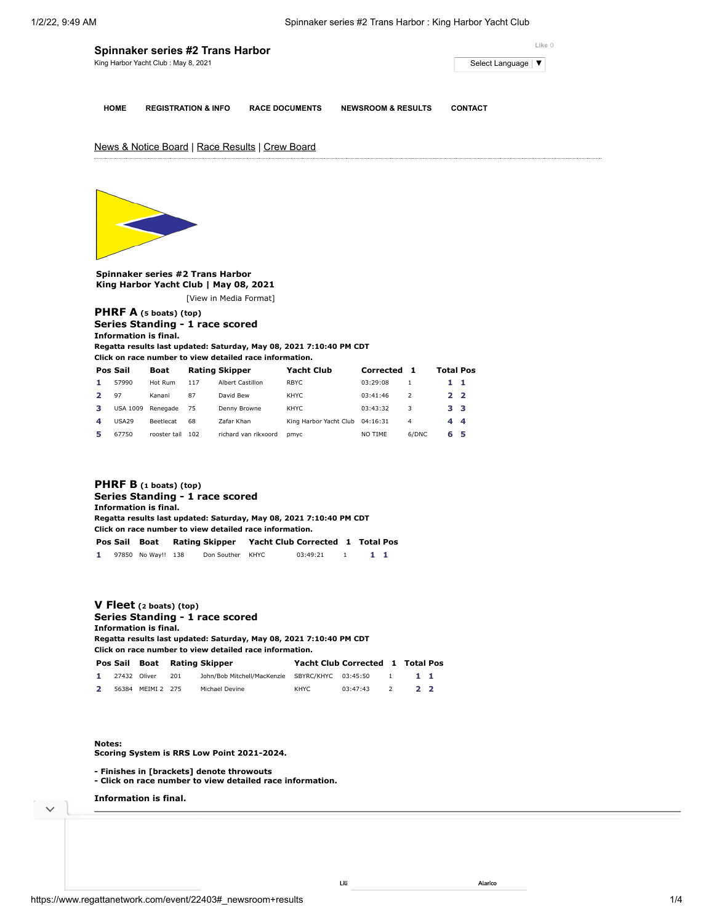|             | Spinnaker series #2 Trans Harbor     | Like 0                |                               |                     |
|-------------|--------------------------------------|-----------------------|-------------------------------|---------------------|
|             | King Harbor Yacht Club : May 8, 2021 |                       |                               | Select Language   ▼ |
|             |                                      |                       |                               |                     |
|             |                                      |                       |                               |                     |
| <b>HOME</b> | <b>REGISTRATION &amp; INFO</b>       | <b>RACE DOCUMENTS</b> | <b>NEWSROOM &amp; RESULTS</b> | <b>CONTACT</b>      |

# News & Notice Board | Race Results | Crew Board



**Spinnaker series #2 Trans Harbor King Harbor Yacht Club | May 08, 2021** [\[View in Media Format](https://www.regattanetwork.com/clubmgmt/applet_regatta_results.php?regatta_id=22403&media_format=1)]

### **[PHRF A](https://www.regattanetwork.com/clubmgmt/applet_regatta_results.php?regatta_id=22403&limit_fleet=PHRF+A) (5 boats) (top) Series Standing - 1 race scored Information is final.**

**Regatta results last updated: Saturday, May 08, 2021 7:10:40 PM CDT**

**Click on race number to view detailed race information.**

|                  | Pos Sail        | Boat             |     | <b>Rating Skipper</b> | <b>Yacht Club</b>      | Corrected |               | <b>Total Pos</b> |    |
|------------------|-----------------|------------------|-----|-----------------------|------------------------|-----------|---------------|------------------|----|
| 1.               | 57990           | Hot Rum          | 117 | Albert Castillon      | <b>RBYC</b>            | 03:29:08  |               |                  | -1 |
|                  | 97              | Kanani           | 87  | David Bew             | KHYC                   | 03:41:46  | $\mathcal{P}$ | 22               |    |
| з                | <b>USA 1009</b> | Renegade         | 75  | Denny Browne          | KHYC                   | 03:43:32  | 3             | 33               |    |
| $\boldsymbol{A}$ | <b>USA29</b>    | <b>Beetlecat</b> | 68  | Zafar Khan            | King Harbor Yacht Club | 04:16:31  | 4             | 44               |    |
| 5                | 67750           | rooster tail     | 102 | richard van rikxoord  | pmyc                   | NO TIME   | 6/DNC         | 65               |    |

## **[PHRF B](https://www.regattanetwork.com/clubmgmt/applet_regatta_results.php?regatta_id=22403&limit_fleet=PHRF+B) (1 boats) (top) Series Standing - 1 race scored Information is final. Regatta results last updated: Saturday, May 08, 2021 7:10:40 PM CDT Click on race number to view detailed race information. Pos Sail Boat Rating Skipper Yacht Club Corrected [1](https://www.regattanetwork.com/clubmgmt/applet_race_scores.php?regatta_id=22403&race_num=1&fleet=PHRF+B) Total Pos 1** 97850 No Way!! 138 Don Souther KHYC 03:49:21 1 **1 1**

#### **[V Fleet](https://www.regattanetwork.com/clubmgmt/applet_regatta_results.php?regatta_id=22403&limit_fleet=V+Fleet) (2 boats) (top) Series Standing - 1 race scored Information is final. Regatta results last updated: Saturday, May 08, 2021 7:10:40 PM CDT**

**Click on race number to view detailed race information. Pos Sail Boat Rating Skipper Yacht Club Corrected [1](https://www.regattanetwork.com/clubmgmt/applet_race_scores.php?regatta_id=22403&race_num=1&fleet=V+Fleet) Total Pos 1** 27432 Oliver 201 John/Bob Mitchell/MacKenzie SBYRC/KHYC 03:45:50 1 **1 1**

| 2 | 56384 MEIMI 2 275 | Michael Devine | 03:47:43 |  |  |
|---|-------------------|----------------|----------|--|--|

#### **Notes:**

**Scoring System is RRS Low Point 2021-2024.**

- **Finishes in [brackets] denote throwouts**
- **Click on race number to view detailed race information.**

**Information is final.**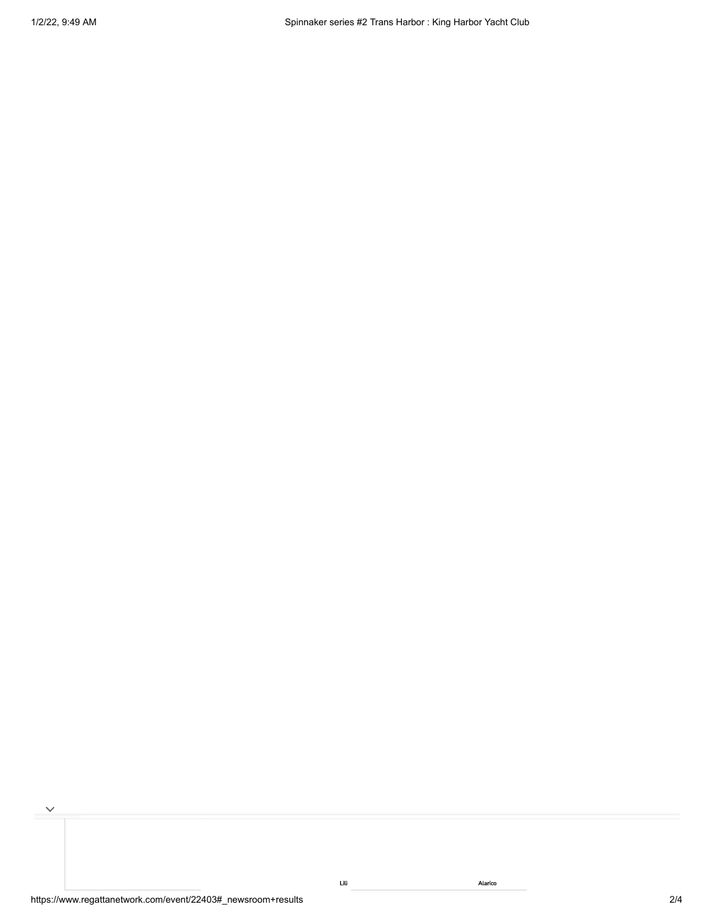$\checkmark$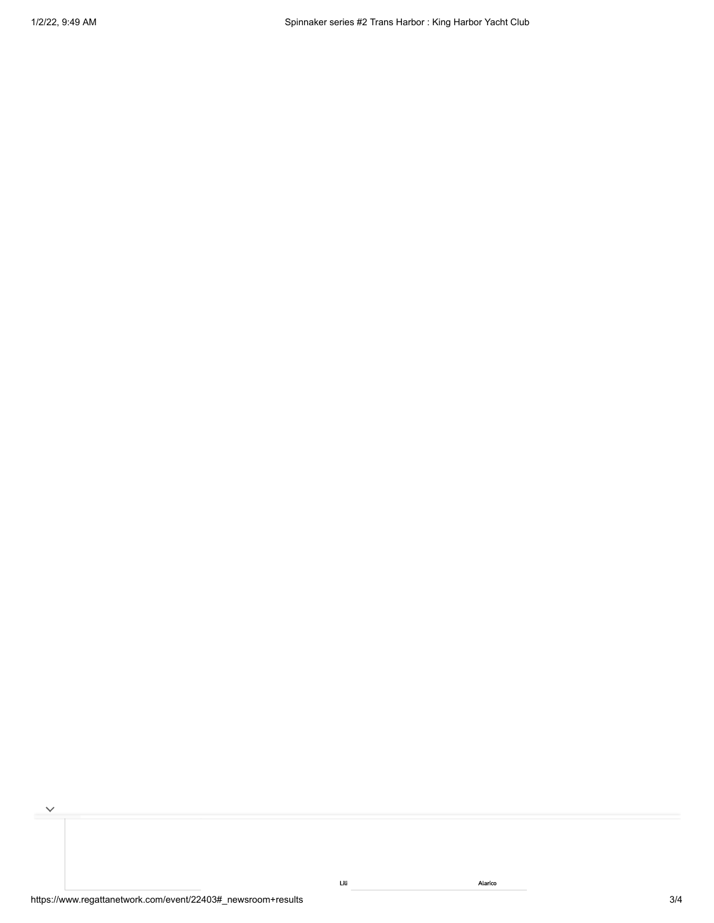$\checkmark$